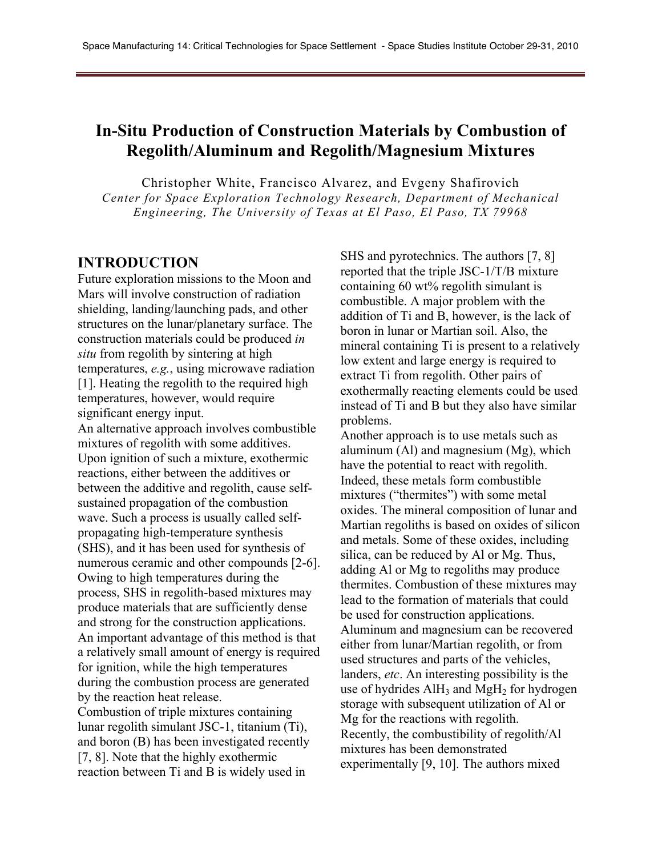# **In-Situ Production of Construction Materials by Combustion of Regolith/Aluminum and Regolith/Magnesium Mixtures**

Christopher White, Francisco Alvarez, and Evgeny Shafirovich *Center for Space Exploration Technology Research, Department of Mechanical Engineering, The University of Texas at El Paso, El Paso, TX 79968* 

### **INTRODUCTION**

Future exploration missions to the Moon and Mars will involve construction of radiation shielding, landing/launching pads, and other structures on the lunar/planetary surface. The construction materials could be produced *in situ* from regolith by sintering at high temperatures, *e.g.*, using microwave radiation [1]. Heating the regolith to the required high temperatures, however, would require significant energy input.

An alternative approach involves combustible mixtures of regolith with some additives. Upon ignition of such a mixture, exothermic reactions, either between the additives or between the additive and regolith, cause selfsustained propagation of the combustion wave. Such a process is usually called selfpropagating high-temperature synthesis (SHS), and it has been used for synthesis of numerous ceramic and other compounds [2-6]. Owing to high temperatures during the process, SHS in regolith-based mixtures may produce materials that are sufficiently dense and strong for the construction applications. An important advantage of this method is that a relatively small amount of energy is required for ignition, while the high temperatures during the combustion process are generated by the reaction heat release. Combustion of triple mixtures containing lunar regolith simulant JSC-1, titanium (Ti), and boron (B) has been investigated recently [7, 8]. Note that the highly exothermic reaction between Ti and B is widely used in

SHS and pyrotechnics. The authors [7, 8] reported that the triple JSC-1/T/B mixture containing 60 wt% regolith simulant is combustible. A major problem with the addition of Ti and B, however, is the lack of boron in lunar or Martian soil. Also, the mineral containing Ti is present to a relatively low extent and large energy is required to extract Ti from regolith. Other pairs of exothermally reacting elements could be used instead of Ti and B but they also have similar problems.

Another approach is to use metals such as aluminum (Al) and magnesium (Mg), which have the potential to react with regolith. Indeed, these metals form combustible mixtures ("thermites") with some metal oxides. The mineral composition of lunar and Martian regoliths is based on oxides of silicon and metals. Some of these oxides, including silica, can be reduced by Al or Mg. Thus, adding Al or Mg to regoliths may produce thermites. Combustion of these mixtures may lead to the formation of materials that could be used for construction applications. Aluminum and magnesium can be recovered either from lunar/Martian regolith, or from used structures and parts of the vehicles, landers, *etc*. An interesting possibility is the use of hydrides  $\text{AlH}_3$  and  $\text{MgH}_2$  for hydrogen storage with subsequent utilization of Al or Mg for the reactions with regolith. Recently, the combustibility of regolith/Al mixtures has been demonstrated experimentally [9, 10]. The authors mixed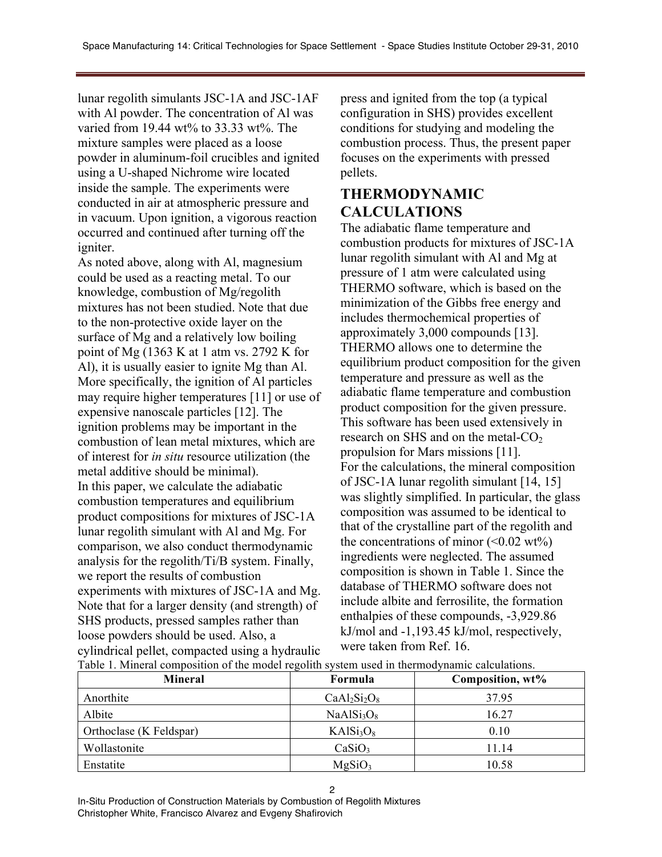lunar regolith simulants JSC-1A and JSC-1AF with Al powder. The concentration of Al was varied from 19.44 wt% to 33.33 wt%. The mixture samples were placed as a loose powder in aluminum-foil crucibles and ignited using a U-shaped Nichrome wire located inside the sample. The experiments were conducted in air at atmospheric pressure and in vacuum. Upon ignition, a vigorous reaction occurred and continued after turning off the igniter.

As noted above, along with Al, magnesium could be used as a reacting metal. To our knowledge, combustion of Mg/regolith mixtures has not been studied. Note that due to the non-protective oxide layer on the surface of Mg and a relatively low boiling point of Mg (1363 K at 1 atm vs. 2792 K for Al), it is usually easier to ignite Mg than Al. More specifically, the ignition of Al particles may require higher temperatures [11] or use of expensive nanoscale particles [12]. The ignition problems may be important in the combustion of lean metal mixtures, which are of interest for *in situ* resource utilization (the metal additive should be minimal). In this paper, we calculate the adiabatic combustion temperatures and equilibrium product compositions for mixtures of JSC-1A lunar regolith simulant with Al and Mg. For comparison, we also conduct thermodynamic analysis for the regolith/Ti/B system. Finally, we report the results of combustion experiments with mixtures of JSC-1A and Mg. Note that for a larger density (and strength) of SHS products, pressed samples rather than loose powders should be used. Also, a cylindrical pellet, compacted using a hydraulic press and ignited from the top (a typical configuration in SHS) provides excellent conditions for studying and modeling the combustion process. Thus, the present paper focuses on the experiments with pressed pellets.

## **THERMODYNAMIC CALCULATIONS**

The adiabatic flame temperature and combustion products for mixtures of JSC-1A lunar regolith simulant with Al and Mg at pressure of 1 atm were calculated using THERMO software, which is based on the minimization of the Gibbs free energy and includes thermochemical properties of approximately 3,000 compounds [13]. THERMO allows one to determine the equilibrium product composition for the given temperature and pressure as well as the adiabatic flame temperature and combustion product composition for the given pressure. This software has been used extensively in research on SHS and on the metal-CO<sub>2</sub> propulsion for Mars missions [11]. For the calculations, the mineral composition of JSC-1A lunar regolith simulant [14, 15] was slightly simplified. In particular, the glass composition was assumed to be identical to that of the crystalline part of the regolith and the concentrations of minor  $(<0.02 \text{ wt\%})$ ingredients were neglected. The assumed composition is shown in Table 1. Since the database of THERMO software does not include albite and ferrosilite, the formation enthalpies of these compounds, -3,929.86 kJ/mol and -1,193.45 kJ/mol, respectively, were taken from Ref. 16.

| <b>Mineral</b>          | Formula                            | Composition, wt% |
|-------------------------|------------------------------------|------------------|
| Anorthite               | $CaAl2Si2O8$                       | 37.95            |
| Albite                  | NaAlSi <sub>3</sub> O <sub>8</sub> | 16.27            |
| Orthoclase (K Feldspar) | KAISi <sub>3</sub> O <sub>8</sub>  | 0.10             |
| Wollastonite            | CaSiO <sub>3</sub>                 | 11.14            |
| Enstatite               | MgSiO <sub>3</sub>                 | 10.58            |

Table 1. Mineral composition of the model regolith system used in thermodynamic calculations.

In-Situ Production of Construction Materials by Combustion of Regolith Mixtures

Christopher White, Francisco Alvarez and Evgeny Shafirovich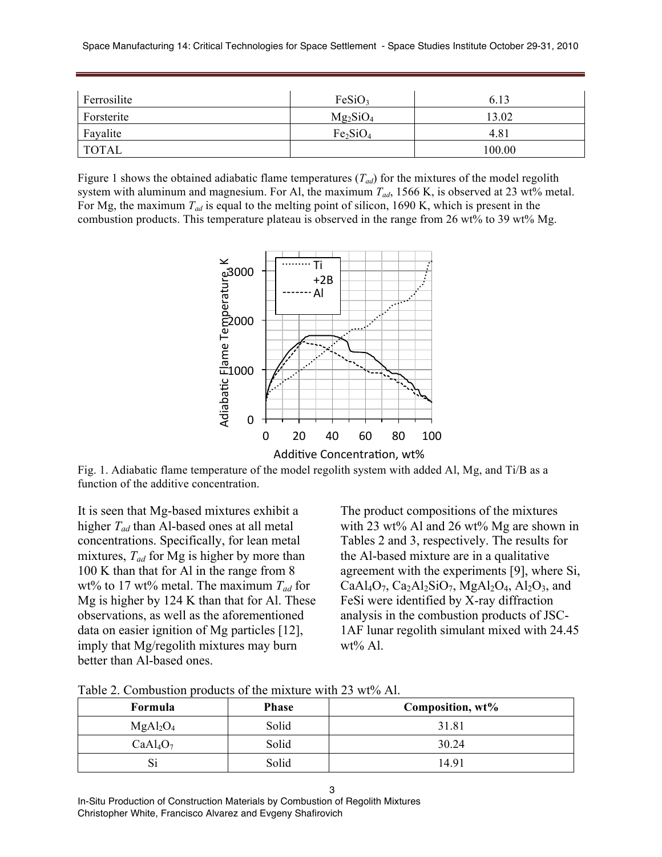| Ferrosilite  | FeSiO <sub>3</sub>               | 6.13   |
|--------------|----------------------------------|--------|
| Forsterite   | $Mg_2SiO_4$                      | 13.02  |
| Fayalite     | Fe <sub>2</sub> SiO <sub>4</sub> | 4.81   |
| <b>TOTAL</b> |                                  | 100.00 |

Figure 1 shows the obtained adiabatic flame temperatures (*Tad*) for the mixtures of the model regolith system with aluminum and magnesium. For Al, the maximum  $T_{ad}$ , 1566 K, is observed at 23 wt% metal. For Mg, the maximum  $T_{ad}$  is equal to the melting point of silicon, 1690 K, which is present in the combustion products. This temperature plateau is observed in the range from 26 wt% to 39 wt% Mg.



Additive Concentration, wt%

Fig. 1. Adiabatic flame temperature of the model regolith system with added Al, Mg, and Ti/B as a function of the additive concentration.

It is seen that Mg-based mixtures exhibit a higher *Tad* than Al-based ones at all metal concentrations. Specifically, for lean metal mixtures,  $T_{ad}$  for Mg is higher by more than 100 K than that for Al in the range from 8 wt% to 17 wt% metal. The maximum *Tad* for Mg is higher by 124 K than that for Al. These observations, as well as the aforementioned data on easier ignition of Mg particles [12], imply that Mg/regolith mixtures may burn better than Al-based ones.

The product compositions of the mixtures with 23 wt% Al and 26 wt% Mg are shown in Tables 2 and 3, respectively. The results for the Al-based mixture are in a qualitative agreement with the experiments [9], where Si, CaAl<sub>4</sub>O<sub>7</sub>, Ca<sub>2</sub>Al<sub>2</sub>SiO<sub>7</sub>, MgAl<sub>2</sub>O<sub>4</sub>, Al<sub>2</sub>O<sub>3</sub>, and FeSi were identified by X-ray diffraction analysis in the combustion products of JSC-1AF lunar regolith simulant mixed with 24.45 wt% Al.

| Formula                          | <b>Phase</b> | Composition, wt% |
|----------------------------------|--------------|------------------|
| MgAl <sub>2</sub> O <sub>4</sub> | Solid        | 31.81            |
| CaAl <sub>4</sub> O <sub>7</sub> | Solid        | 30.24            |
|                                  | Solid        | 14.91            |

Table 2. Combustion products of the mixture with 23 wt% Al.

In-Situ Production of Construction Materials by Combustion of Regolith Mixtures Christopher White, Francisco Alvarez and Evgeny Shafirovich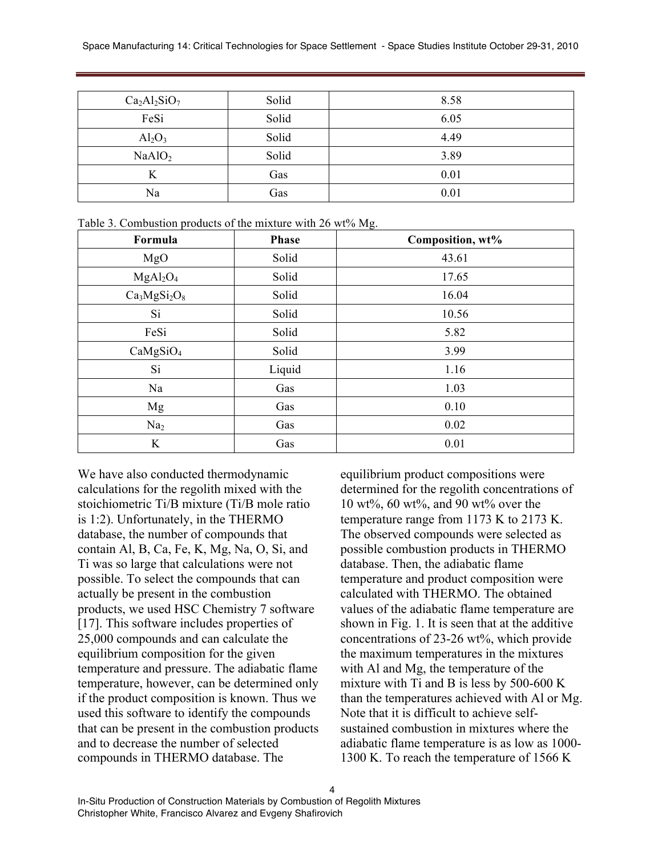| $Ca2Al2SiO7$       | Solid | 8.58 |
|--------------------|-------|------|
| FeSi               | Solid | 6.05 |
| $Al_2O_3$          | Solid | 4.49 |
| NaAlO <sub>2</sub> | Solid | 3.89 |
| K                  | Gas   | 0.01 |
| Na                 | Gas   | 0.01 |

| Formula                          | <b>Phase</b> | Composition, wt% |
|----------------------------------|--------------|------------------|
| MgO                              | Solid        | 43.61            |
| MgAl <sub>2</sub> O <sub>4</sub> | Solid        | 17.65            |
| $Ca3MgSi2O8$                     | Solid        | 16.04            |
| Si                               | Solid        | 10.56            |
| FeSi                             | Solid        | 5.82             |
| CaMgSiO <sub>4</sub>             | Solid        | 3.99             |
| Si                               | Liquid       | 1.16             |
| Na                               | Gas          | 1.03             |
| Mg                               | Gas          | 0.10             |
| Na <sub>2</sub>                  | Gas          | 0.02             |
| K                                | Gas          | 0.01             |

Table 3. Combustion products of the mixture with 26 wt% Mg.

We have also conducted thermodynamic calculations for the regolith mixed with the stoichiometric Ti/B mixture (Ti/B mole ratio is 1:2). Unfortunately, in the THERMO database, the number of compounds that contain Al, B, Ca, Fe, K, Mg, Na, O, Si, and Ti was so large that calculations were not possible. To select the compounds that can actually be present in the combustion products, we used HSC Chemistry 7 software [17]. This software includes properties of 25,000 compounds and can calculate the equilibrium composition for the given temperature and pressure. The adiabatic flame temperature, however, can be determined only if the product composition is known. Thus we used this software to identify the compounds that can be present in the combustion products and to decrease the number of selected compounds in THERMO database. The

equilibrium product compositions were determined for the regolith concentrations of 10 wt%, 60 wt%, and 90 wt% over the temperature range from 1173 K to 2173 K. The observed compounds were selected as possible combustion products in THERMO database. Then, the adiabatic flame temperature and product composition were calculated with THERMO. The obtained values of the adiabatic flame temperature are shown in Fig. 1. It is seen that at the additive concentrations of 23-26 wt%, which provide the maximum temperatures in the mixtures with Al and Mg, the temperature of the mixture with Ti and B is less by 500-600 K than the temperatures achieved with Al or Mg. Note that it is difficult to achieve selfsustained combustion in mixtures where the adiabatic flame temperature is as low as 1000- 1300 K. To reach the temperature of 1566 K

4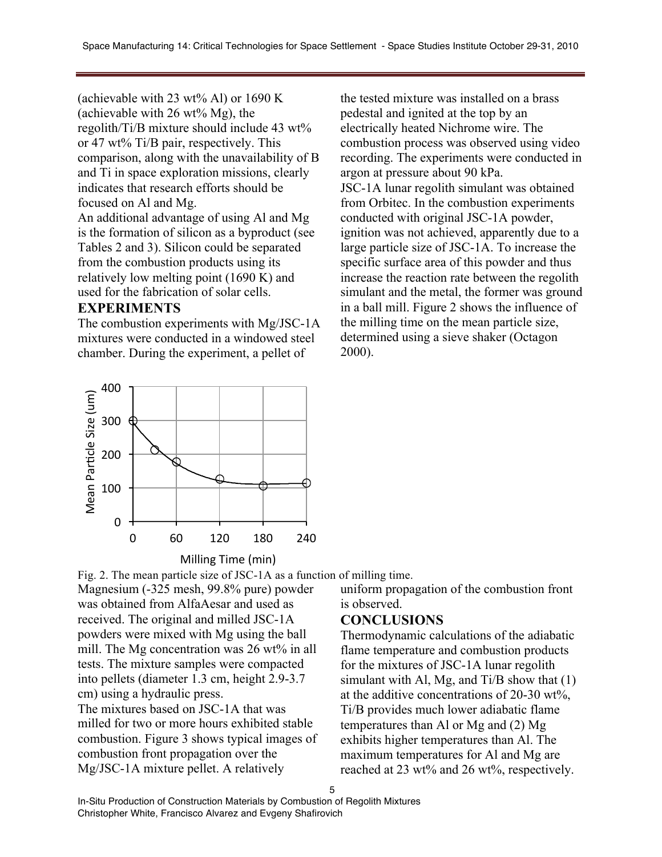(achievable with 23 wt% Al) or 1690 K (achievable with  $26 \text{ wt\% Mg}$ ), the regolith/Ti/B mixture should include 43 wt% or 47 wt% Ti/B pair, respectively. This comparison, along with the unavailability of B and Ti in space exploration missions, clearly indicates that research efforts should be focused on Al and Mg.

An additional advantage of using Al and Mg is the formation of silicon as a byproduct (see Tables 2 and 3). Silicon could be separated from the combustion products using its relatively low melting point (1690 K) and used for the fabrication of solar cells.

#### **EXPERIMENTS**

The combustion experiments with Mg/JSC-1A mixtures were conducted in a windowed steel chamber. During the experiment, a pellet of

the tested mixture was installed on a brass pedestal and ignited at the top by an electrically heated Nichrome wire. The combustion process was observed using video recording. The experiments were conducted in argon at pressure about 90 kPa. JSC-1A lunar regolith simulant was obtained from Orbitec. In the combustion experiments conducted with original JSC-1A powder, ignition was not achieved, apparently due to a large particle size of JSC-1A. To increase the specific surface area of this powder and thus increase the reaction rate between the regolith simulant and the metal, the former was ground in a ball mill. Figure 2 shows the influence of the milling time on the mean particle size, determined using a sieve shaker (Octagon 2000).



Fig. 2. The mean particle size of JSC-1A as a function of milling time.

Magnesium (-325 mesh, 99.8% pure) powder was obtained from AlfaAesar and used as received. The original and milled JSC-1A powders were mixed with Mg using the ball mill. The Mg concentration was 26 wt% in all tests. The mixture samples were compacted into pellets (diameter 1.3 cm, height 2.9-3.7 cm) using a hydraulic press.

The mixtures based on JSC-1A that was milled for two or more hours exhibited stable combustion. Figure 3 shows typical images of combustion front propagation over the Mg/JSC-1A mixture pellet. A relatively

uniform propagation of the combustion front is observed.

## **CONCLUSIONS**

Thermodynamic calculations of the adiabatic flame temperature and combustion products for the mixtures of JSC-1A lunar regolith simulant with Al, Mg, and Ti/B show that  $(1)$ at the additive concentrations of 20-30 wt%, Ti/B provides much lower adiabatic flame temperatures than Al or Mg and (2) Mg exhibits higher temperatures than Al. The maximum temperatures for Al and Mg are reached at 23 wt% and 26 wt%, respectively.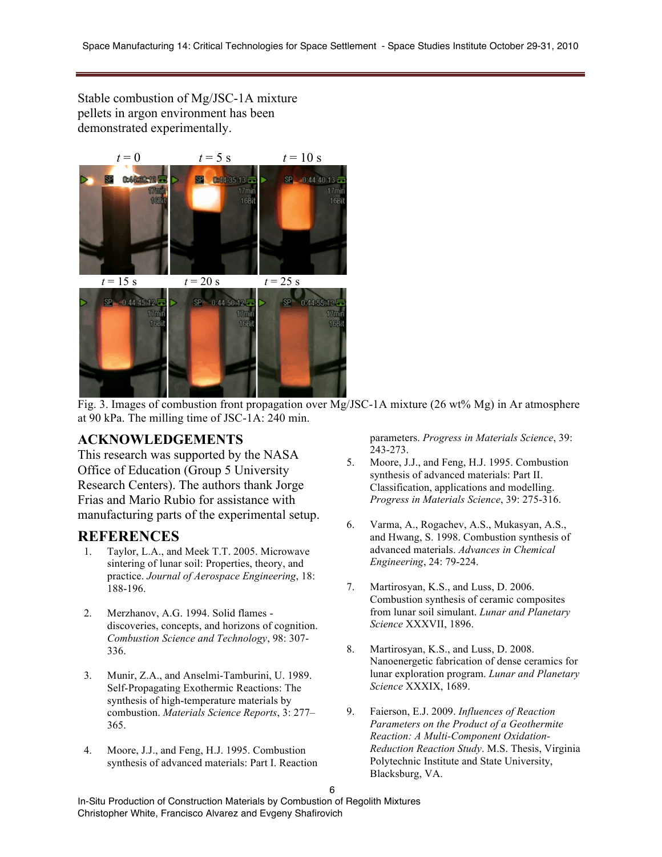Stable combustion of Mg/JSC-1A mixture pellets in argon environment has been demonstrated experimentally.



Fig. 3. Images of combustion front propagation over Mg/JSC-1A mixture (26 wt% Mg) in Ar atmosphere at 90 kPa. The milling time of JSC-1A: 240 min.

## **ACKNOWLEDGEMENTS**

This research was supported by the NASA Office of Education (Group 5 University Research Centers). The authors thank Jorge Frias and Mario Rubio for assistance with manufacturing parts of the experimental setup.

## **REFERENCES**

- 1. Taylor, L.A., and Meek T.T. 2005. Microwave sintering of lunar soil: Properties, theory, and practice. *Journal of Aerospace Engineering*, 18: 188-196.
- 2. Merzhanov, A.G. 1994. Solid flames discoveries, concepts, and horizons of cognition. *Combustion Science and Technology*, 98: 307- 336.
- 3. Munir, Z.A., and Anselmi-Tamburini, U. 1989. Self-Propagating Exothermic Reactions: The synthesis of high-temperature materials by combustion. *Materials Science Reports*, 3: 277– 365.
- 4. Moore, J.J., and Feng, H.J. 1995. Combustion synthesis of advanced materials: Part I. Reaction

parameters. *Progress in Materials Science*, 39: 243-273.

- 5. Moore, J.J., and Feng, H.J. 1995. Combustion synthesis of advanced materials: Part II. Classification, applications and modelling. *Progress in Materials Science*, 39: 275-316.
- 6. Varma, A., Rogachev, A.S., Mukasyan, A.S., and Hwang, S. 1998. Combustion synthesis of advanced materials. *Advances in Chemical Engineering*, 24: 79-224.
- 7. Martirosyan, K.S., and Luss, D. 2006. Combustion synthesis of ceramic composites from lunar soil simulant. *Lunar and Planetary Science* XXXVII, 1896.
- 8. Martirosyan, K.S., and Luss, D. 2008. Nanoenergetic fabrication of dense ceramics for lunar exploration program. *Lunar and Planetary Science* XXXIX, 1689.
- 9. Faierson, E.J. 2009. *Influences of Reaction Parameters on the Product of a Geothermite Reaction: A Multi-Component Oxidation-Reduction Reaction Study*. M.S. Thesis, Virginia Polytechnic Institute and State University, Blacksburg, VA.